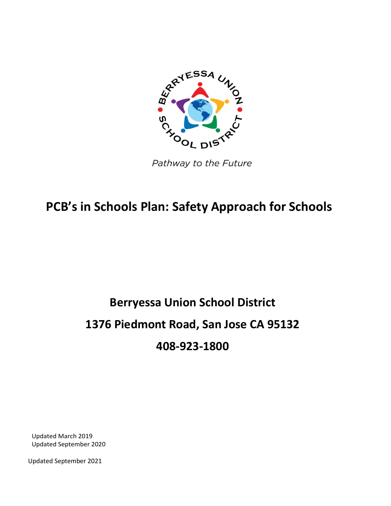

Pathway to the Future

# **PCB's in Schools Plan: Safety Approach for Schools**

# **Berryessa Union School District 1376 Piedmont Road, San Jose CA 95132 408-923-1800**

Updated March 2019 Updated September 2020

Updated September 2021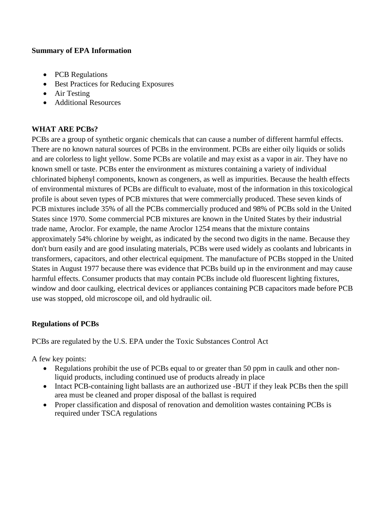#### **Summary of EPA Information**

- PCB Regulations
- **•** Best Practices for Reducing Exposures
- Air Testing
- Additional Resources

## **WHAT ARE PCBs?**

PCBs are a group of synthetic organic chemicals that can cause a number of different harmful effects. There are no known natural sources of PCBs in the environment. PCBs are either oily liquids or solids and are colorless to light yellow. Some PCBs are volatile and may exist as a vapor in air. They have no known smell or taste. PCBs enter the environment as mixtures containing a variety of individual chlorinated biphenyl components, known as congeners, as well as impurities. Because the health effects of environmental mixtures of PCBs are difficult to evaluate, most of the information in this toxicological profile is about seven types of PCB mixtures that were commercially produced. These seven kinds of PCB mixtures include 35% of all the PCBs commercially produced and 98% of PCBs sold in the United States since 1970. Some commercial PCB mixtures are known in the United States by their industrial trade name, Aroclor. For example, the name Aroclor 1254 means that the mixture contains approximately 54% chlorine by weight, as indicated by the second two digits in the name. Because they don't burn easily and are good insulating materials, PCBs were used widely as coolants and lubricants in transformers, capacitors, and other electrical equipment. The manufacture of PCBs stopped in the United States in August 1977 because there was evidence that PCBs build up in the environment and may cause harmful effects. Consumer products that may contain PCBs include old fluorescent lighting fixtures, window and door caulking, electrical devices or appliances containing PCB capacitors made before PCB use was stopped, old microscope oil, and old hydraulic oil.

### **Regulations of PCBs**

PCBs are regulated by the U.S. EPA under the Toxic Substances Control Act

A few key points:

- Regulations prohibit the use of PCBs equal to or greater than 50 ppm in caulk and other nonliquid products, including continued use of products already in place
- Intact PCB-containing light ballasts are an authorized use -BUT if they leak PCBs then the spill area must be cleaned and proper disposal of the ballast is required
- Proper classification and disposal of renovation and demolition wastes containing PCBs is required under TSCA regulations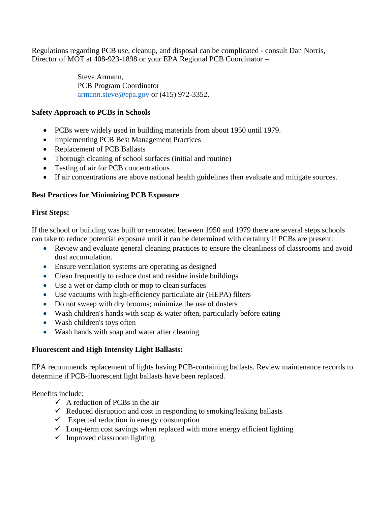Regulations regarding PCB use, cleanup, and disposal can be complicated - consult Dan Norris, Director of MOT at 408-923-1898 or your EPA Regional PCB Coordinator –

> Steve Armann, PCB Program Coordinator [armann.steve@epa.gov](mailto:armann.steve@epa.gov) or (415) 972-3352.

#### **Safety Approach to PCBs in Schools**

- PCBs were widely used in building materials from about 1950 until 1979.
- Implementing PCB Best Management Practices
- Replacement of PCB Ballasts
- Thorough cleaning of school surfaces (initial and routine)
- Testing of air for PCB concentrations
- If air concentrations are above national health guidelines then evaluate and mitigate sources.

#### **Best Practices for Minimizing PCB Exposure**

#### **First Steps:**

If the school or building was built or renovated between 1950 and 1979 there are several steps schools can take to reduce potential exposure until it can be determined with certainty if PCBs are present:

- Review and evaluate general cleaning practices to ensure the cleanliness of classrooms and avoid dust accumulation.
- Ensure ventilation systems are operating as designed
- Clean frequently to reduce dust and residue inside buildings
- Use a wet or damp cloth or mop to clean surfaces
- Use vacuums with high-efficiency particulate air (HEPA) filters
- Do not sweep with dry brooms; minimize the use of dusters
- Wash children's hands with soap & water often, particularly before eating
- Wash children's toys often
- Wash hands with soap and water after cleaning

#### **Fluorescent and High Intensity Light Ballasts:**

EPA recommends replacement of lights having PCB-containing ballasts. Review maintenance records to determine if PCB-fluorescent light ballasts have been replaced.

Benefits include:

- $\checkmark$  A reduction of PCBs in the air
- $\checkmark$  Reduced disruption and cost in responding to smoking/leaking ballasts
- $\checkmark$  Expected reduction in energy consumption
- $\checkmark$  Long-term cost savings when replaced with more energy efficient lighting
- $\checkmark$  Improved classroom lighting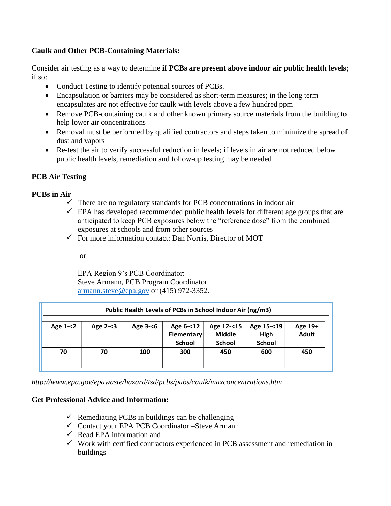#### **Caulk and Other PCB-Containing Materials:**

Consider air testing as a way to determine **if PCBs are present above indoor air public health levels**; if so:

- Conduct Testing to identify potential sources of PCBs.
- Encapsulation or barriers may be considered as short-term measures; in the long term encapsulates are not effective for caulk with levels above a few hundred ppm
- Remove PCB-containing caulk and other known primary source materials from the building to help lower air concentrations
- Removal must be performed by qualified contractors and steps taken to minimize the spread of dust and vapors
- Re-test the air to verify successful reduction in levels; if levels in air are not reduced below public health levels, remediation and follow-up testing may be needed

#### **PCB Air Testing**

#### **PCBs in Air**

- $\checkmark$  There are no regulatory standards for PCB concentrations in indoor air
- $\checkmark$  EPA has developed recommended public health levels for different age groups that are anticipated to keep PCB exposures below the "reference dose" from the combined exposures at schools and from other sources
- $\checkmark$  For more information contact: Dan Norris, Director of MOT

or

EPA Region 9's PCB Coordinator: Steve Armann, PCB Program Coordinator [armann.steve@epa.gov](mailto:armann.steve@epa.gov) or (415) 972-3352.

| Public Health Levels of PCBs in School Indoor Air (ng/m3) |             |          |                                                 |                                              |                                     |                         |
|-----------------------------------------------------------|-------------|----------|-------------------------------------------------|----------------------------------------------|-------------------------------------|-------------------------|
| Age $1 - 2$                                               | Age $2 - 3$ | Age 3-<6 | Age 6-<12<br><b>Elementary</b><br><b>School</b> | Age 12-<15<br><b>Middle</b><br><b>School</b> | Age 15-<19<br>High<br><b>School</b> | Age 19+<br><b>Adult</b> |
| 70                                                        | 70          | 100      | 300                                             | 450                                          | 600                                 | 450                     |

*<http://www.epa.gov/epawaste/hazard/tsd/pcbs/pubs/caulk/maxconcentrations.htm>*

#### **Get Professional Advice and Information:**

- $\checkmark$  Remediating PCBs in buildings can be challenging
- Contact your EPA PCB Coordinator –Steve Armann
- $\checkmark$  Read EPA information and
- $\checkmark$  Work with certified contractors experienced in PCB assessment and remediation in buildings